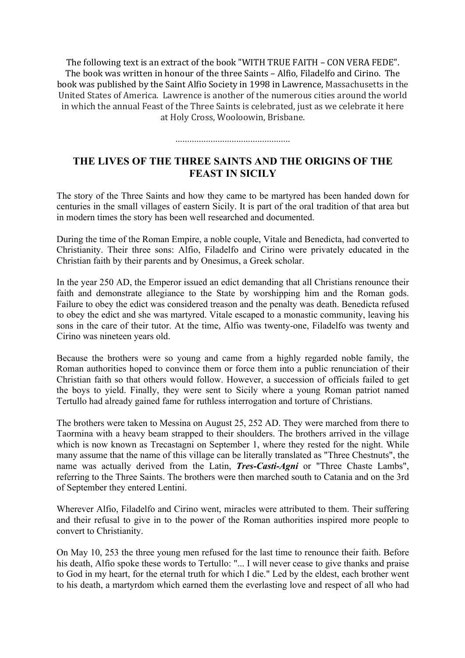The following text is an extract of the book "WITH TRUE FAITH – CON VERA FEDE". The book was written in honour of the three Saints – Alfio, Filadelfo and Cirino. The book was published by the Saint Alfio Society in 1998 in Lawrence, Massachusetts in the United States of America. Lawrence is another of the numerous cities around the world in which the annual Feast of the Three Saints is celebrated, just as we celebrate it here at Holy Cross, Wooloowin, Brisbane.

.................................................

## **THE LIVES OF THE THREE SAINTS AND THE ORIGINS OF THE FEAST IN SICILY**

The story of the Three Saints and how they came to be martyred has been handed down for centuries in the small villages of eastern Sicily. It is part of the oral tradition of that area but in modern times the story has been well researched and documented.

During the time of the Roman Empire, a noble couple, Vitale and Benedicta, had converted to Christianity. Their three sons: Alfio, Filadelfo and Cirino were privately educated in the Christian faith by their parents and by Onesimus, a Greek scholar.

In the year 250 AD, the Emperor issued an edict demanding that all Christians renounce their faith and demonstrate allegiance to the State by worshipping him and the Roman gods. Failure to obey the edict was considered treason and the penalty was death. Benedicta refused to obey the edict and she was martyred. Vitale escaped to a monastic community, leaving his sons in the care of their tutor. At the time, Alfio was twenty-one, Filadelfo was twenty and Cirino was nineteen years old.

Because the brothers were so young and came from a highly regarded noble family, the Roman authorities hoped to convince them or force them into a public renunciation of their Christian faith so that others would follow. However, a succession of officials failed to get the boys to yield. Finally, they were sent to Sicily where a young Roman patriot named Tertullo had already gained fame for ruthless interrogation and torture of Christians.

The brothers were taken to Messina on August 25, 252 AD. They were marched from there to Taormina with a heavy beam strapped to their shoulders. The brothers arrived in the village which is now known as Trecastagni on September 1, where they rested for the night. While many assume that the name of this village can be literally translated as "Three Chestnuts", the name was actually derived from the Latin, *Tres-Casti-Agni* or "Three Chaste Lambs", referring to the Three Saints. The brothers were then marched south to Catania and on the 3rd of September they entered Lentini.

Wherever Alfio, Filadelfo and Cirino went, miracles were attributed to them. Their suffering and their refusal to give in to the power of the Roman authorities inspired more people to convert to Christianity.

On May 10, 253 the three young men refused for the last time to renounce their faith. Before his death, Alfio spoke these words to Tertullo: "... I will never cease to give thanks and praise to God in my heart, for the eternal truth for which I die." Led by the eldest, each brother went to his death, a martyrdom which earned them the everlasting love and respect of all who had